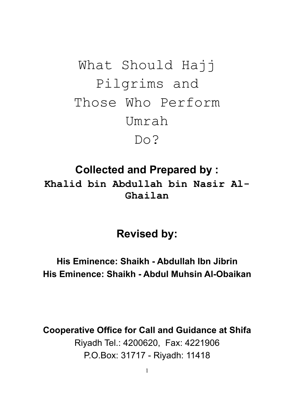What Should Hajj Pilgrims and Those Who Perform Umrah Do?

**Collected and Prepared by : Khalid bin Abdullah bin Nasir Al-Ghailan** 

**Revised by:** 

**His Eminence: Shaikh - Abdullah Ibn Jibrin His Eminence: Shaikh - Abdul Muhsin Al-Obaikan** 

**Cooperative Office for Call and Guidance at Shifa**  Riyadh Tel.: 4200620, Fax: 4221906 P.O.Box: 31717 - Riyadh: 11418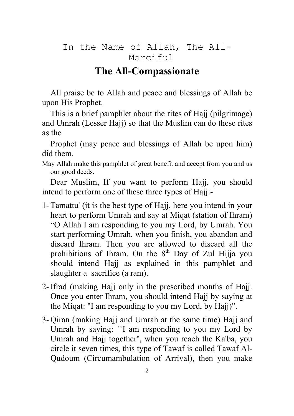#### In the Name of Allah, The All-Merciful

#### **The All-Compassionate**

All praise be to Allah and peace and blessings of Allah be upon His Prophet.

This is a brief pamphlet about the rites of Hajj (pilgrimage) and Umrah (Lesser Hajj) so that the Muslim can do these rites as the

Prophet (may peace and blessings of Allah be upon him) did them.

May Allah make this pamphlet of great benefit and accept from you and us our good deeds.

Dear Muslim, If you want to perform Hajj, you should intend to perform one of these three types of Hajj:-

- 1- Tamattu' (it is the best type of Hajj, here you intend in your heart to perform Umrah and say at Miqat (station of Ihram) "O Allah I am responding to you my Lord, by Umrah. You start performing Umrah, when you finish, you abandon and discard Ihram. Then you are allowed to discard all the prohibitions of Ihram. On the  $8<sup>th</sup>$  Day of Zul Hijja you should intend Hajj as explained in this pamphlet and slaughter a sacrifice (a ram).
- 2- Ifrad (making Hajj only in the prescribed months of Hajj. Once you enter Ihram, you should intend Hajj by saying at the Miqat: "I am responding to you my Lord, by Hajj)".
- 3- Qiran (making Hajj and Umrah at the same time) Hajj and Umrah by saying: ``I am responding to you my Lord by Umrah and Hajj together'', when you reach the Ka'ba, you circle it seven times, this type of Tawaf is called Tawaf Al-Qudoum (Circumambulation of Arrival), then you make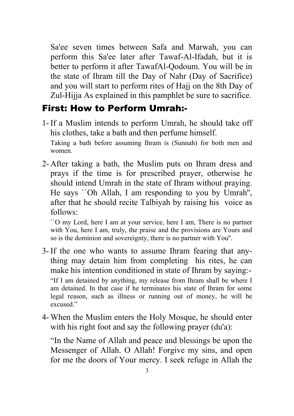Sa'ee seven times between Safa and Marwah, you can perform this Sa'ee later after Tawaf-Al-Ifadah, but it is better to perform it after TawafAl-Qodoum. You will be in the state of Ihram till the Day of Nahr (Day of Sacrifice) and you will start to perform rites of Hajj on the 8th Day of Zul-Hijja As explained in this pamphlet be sure to sacrifice.

#### First: How to Perform Umrah:-

- 1- If a Muslim intends to perform Umrah, he should take off his clothes, take a bath and then perfume himself. Taking a bath before assuming Ihram is (Sunnah) for both men and women.
- 2- After taking a bath, the Muslim puts on Ihram dress and prays if the time is for prescribed prayer, otherwise he should intend Umrah in the state of Ihram without praying. He says ``Oh Allah, I am responding to you by Umrah'', after that he should recite Talbiyah by raising his voice as follows:

 ``O my Lord, here I am at your service, here I am, There is no partner with You, here I am, truly, the praise and the provisions are Yours and so is the dominion and sovereignty, there is no partner with You''.

3- If the one who wants to assume Ihram fearing that anything may detain him from completing his rites, he can make his intention conditioned in state of Ihram by saying:- "If I am detained by anything, my release from Ihram shall be where I am detained. In that case if he terminates his state of Ihram for some legal reason, such as illness or running out of money, he will be excused."

4- When the Muslim enters the Holy Mosque, he should enter with his right foot and say the following prayer (du'a):

 "In the Name of Allah and peace and blessings be upon the Messenger of Allah. O Allah! Forgive my sins, and open for me the doors of Your mercy. I seek refuge in Allah the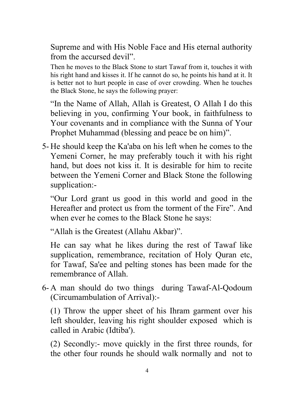Supreme and with His Noble Face and His eternal authority from the accursed devil".

 Then he moves to the Black Stone to start Tawaf from it, touches it with his right hand and kisses it. If he cannot do so, he points his hand at it. It is better not to hurt people in case of over crowding. When he touches the Black Stone, he says the following prayer:

 "In the Name of Allah, Allah is Greatest, O Allah I do this believing in you, confirming Your book, in faithfulness to Your covenants and in compliance with the Sunna of Your Prophet Muhammad (blessing and peace be on him)".

5- He should keep the Ka'aba on his left when he comes to the Yemeni Corner, he may preferably touch it with his right hand, but does not kiss it. It is desirable for him to recite between the Yemeni Corner and Black Stone the following supplication:-

 "Our Lord grant us good in this world and good in the Hereafter and protect us from the torment of the Fire". And when ever he comes to the Black Stone he says:

"Allah is the Greatest (Allahu Akbar)".

 He can say what he likes during the rest of Tawaf like supplication, remembrance, recitation of Holy Quran etc, for Tawaf, Sa'ee and pelting stones has been made for the remembrance of Allah.

6- A man should do two things during Tawaf-Al-Qodoum (Circumambulation of Arrival):-

 (1) Throw the upper sheet of his Ihram garment over his left shoulder, leaving his right shoulder exposed which is called in Arabic (Idtiba').

 (2) Secondly:- move quickly in the first three rounds, for the other four rounds he should walk normally and not to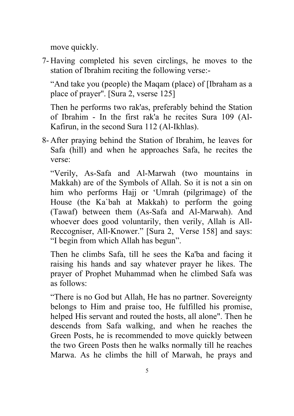move quickly.

7- Having completed his seven circlings, he moves to the station of Ibrahim reciting the following verse:-

 "And take you (people) the Maqam (place) of [Ibraham as a place of prayer''. [Sura 2, vserse 125]

 Then he performs two rak'as, preferably behind the Station of Ibrahim - In the first rak'a he recites Sura 109 (Al-Kafirun, in the second Sura 112 (Al-Ikhlas).

8- After praying behind the Station of Ibrahim, he leaves for Safa (hill) and when he approaches Safa, he recites the verse:

 "Verily, As-Safa and Al-Marwah (two mountains in Makkah) are of the Symbols of Allah. So it is not a sin on him who performs Hajj or 'Umrah (pilgrimage) of the House (the Ka`bah at Makkah) to perform the going (Tawaf) between them (As-Safa and Al-Marwah). And whoever does good voluntarily, then verily, Allah is All-Reccogniser, All-Knower." [Sura 2, Verse 158] and says: "I begin from which Allah has begun".

 Then he climbs Safa, till he sees the Ka'ba and facing it raising his hands and say whatever prayer he likes. The prayer of Prophet Muhammad when he climbed Safa was as follows:

 "There is no God but Allah, He has no partner. Sovereignty belongs to Him and praise too, He fulfilled his promise, helped His servant and routed the hosts, all alone". Then he descends from Safa walking, and when he reaches the Green Posts, he is recommended to move quickly between the two Green Posts then he walks normally till he reaches Marwa. As he climbs the hill of Marwah, he prays and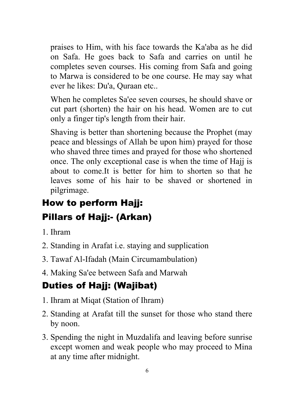praises to Him, with his face towards the Ka'aba as he did on Safa. He goes back to Safa and carries on until he completes seven courses. His coming from Safa and going to Marwa is considered to be one course. He may say what ever he likes: Du'a, Quraan etc..

 When he completes Sa'ee seven courses, he should shave or cut part (shorten) the hair on his head. Women are to cut only a finger tip's length from their hair.

 Shaving is better than shortening because the Prophet (may peace and blessings of Allah be upon him) prayed for those who shaved three times and prayed for those who shortened once. The only exceptional case is when the time of Hajj is about to come.It is better for him to shorten so that he leaves some of his hair to be shaved or shortened in pilgrimage.

# How to perform Hajj: Pillars of Hajj:- (Arkan)

- 1. Ihram
- 2. Standing in Arafat i.e. staying and supplication
- 3. Tawaf Al-Ifadah (Main Circumambulation)
- 4. Making Sa'ee between Safa and Marwah

# Duties of Hajj: (Wajibat)

- 1. Ihram at Miqat (Station of Ihram)
- 2. Standing at Arafat till the sunset for those who stand there by noon.
- 3. Spending the night in Muzdalifa and leaving before sunrise except women and weak people who may proceed to Mina at any time after midnight.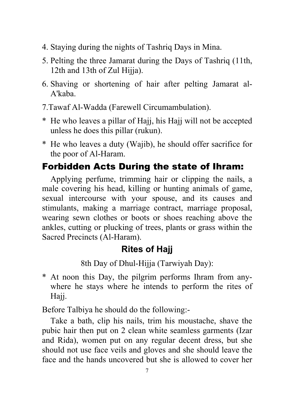- 4. Staying during the nights of Tashriq Days in Mina.
- 5. Pelting the three Jamarat during the Days of Tashriq (11th, 12th and 13th of Zul Hijja).
- 6. Shaving or shortening of hair after pelting Jamarat al-A'kaba.
- 7.Tawaf Al-Wadda (Farewell Circumambulation).
- \* He who leaves a pillar of Hajj, his Hajj will not be accepted unless he does this pillar (rukun).
- \* He who leaves a duty (Wajib), he should offer sacrifice for the poor of Al-Haram.

# Forbidden Acts During the state of Ihram:

Applying perfume, trimming hair or clipping the nails, a male covering his head, killing or hunting animals of game, sexual intercourse with your spouse, and its causes and stimulants, making a marriage contract, marriage proposal, wearing sewn clothes or boots or shoes reaching above the ankles, cutting or plucking of trees, plants or grass within the Sacred Precincts (Al-Haram).

### **Rites of Hajj**

8th Day of Dhul-Hijja (Tarwiyah Day):

\* At noon this Day, the pilgrim performs Ihram from anywhere he stays where he intends to perform the rites of Hajj.

Before Talbiya he should do the following:-

Take a bath, clip his nails, trim his moustache, shave the pubic hair then put on 2 clean white seamless garments (Izar and Rida), women put on any regular decent dress, but she should not use face veils and gloves and she should leave the face and the hands uncovered but she is allowed to cover her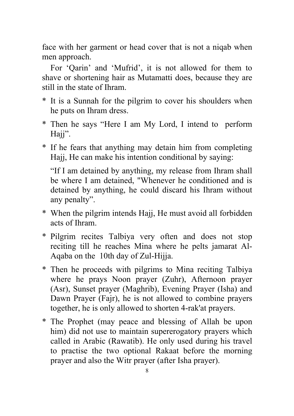face with her garment or head cover that is not a niqab when men approach.

For 'Qarin' and 'Mufrid', it is not allowed for them to shave or shortening hair as Mutamatti does, because they are still in the state of Ihram.

- \* It is a Sunnah for the pilgrim to cover his shoulders when he puts on Ihram dress.
- \* Then he says "Here I am My Lord, I intend to perform Hajj".
- \* If he fears that anything may detain him from completing Hajj, He can make his intention conditional by saying:

 "If I am detained by anything, my release from Ihram shall be where I am detained, "Whenever he conditioned and is detained by anything, he could discard his Ihram without any penalty".

- \* When the pilgrim intends Hajj, He must avoid all forbidden acts of Ihram.
- \* Pilgrim recites Talbiya very often and does not stop reciting till he reaches Mina where he pelts jamarat Al-Aqaba on the 10th day of Zul-Hijja.
- \* Then he proceeds with pilgrims to Mina reciting Talbiya where he prays Noon prayer (Zuhr), Afternoon prayer (Asr), Sunset prayer (Maghrib), Evening Prayer (Isha) and Dawn Prayer (Fajr), he is not allowed to combine prayers together, he is only allowed to shorten 4-rak'at prayers.
- \* The Prophet (may peace and blessing of Allah be upon him) did not use to maintain supererogatory prayers which called in Arabic (Rawatib). He only used during his travel to practise the two optional Rakaat before the morning prayer and also the Witr prayer (after Isha prayer).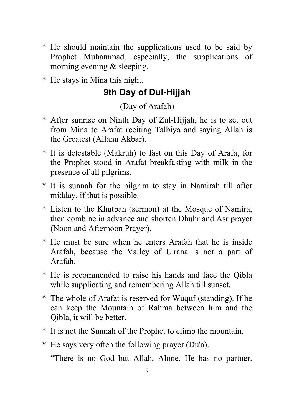- \* He should maintain the supplications used to be said by Prophet Muhammad, especially, the supplications of morning evening & sleeping.
- \* He stays in Mina this night.

## **9th Day of Dul-Hijjah**

(Day of Arafah)

- \* After sunrise on Ninth Day of Zul-Hijjah, he is to set out from Mina to Arafat reciting Talbiya and saying Allah is the Greatest (Allahu Akbar).
- \* It is detestable (Makruh) to fast on this Day of Arafa, for the Prophet stood in Arafat breakfasting with milk in the presence of all pilgrims.
- \* It is sunnah for the pilgrim to stay in Namirah till after midday, if that is possible.
- \* Listen to the Khutbah (sermon) at the Mosque of Namira, then combine in advance and shorten Dhuhr and Asr prayer (Noon and Afternoon Prayer).
- \* He must be sure when he enters Arafah that he is inside Arafah, because the Valley of U'rana is not a part of Arafah.
- \* He is recommended to raise his hands and face the Qibla while supplicating and remembering Allah till sunset.
- \* The whole of Arafat is reserved for Wuquf (standing). If he can keep the Mountain of Rahma between him and the Qibla, it will be better.
- \* It is not the Sunnah of the Prophet to climb the mountain.
- \* He says very often the following prayer (Du'a).

"There is no God but Allah, Alone. He has no partner.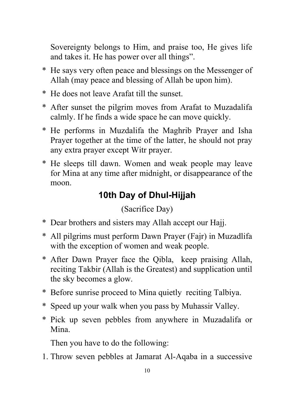Sovereignty belongs to Him, and praise too, He gives life and takes it. He has power over all things".

- \* He says very often peace and blessings on the Messenger of Allah (may peace and blessing of Allah be upon him).
- \* He does not leave Arafat till the sunset.
- \* After sunset the pilgrim moves from Arafat to Muzadalifa calmly. If he finds a wide space he can move quickly.
- \* He performs in Muzdalifa the Maghrib Prayer and Isha Prayer together at the time of the latter, he should not pray any extra prayer except Witr prayer.
- \* He sleeps till dawn. Women and weak people may leave for Mina at any time after midnight, or disappearance of the moon.

#### **10th Day of Dhul-Hijjah**

(Sacrifice Day)

- \* Dear brothers and sisters may Allah accept our Hajj.
- \* All pilgrims must perform Dawn Prayer (Fajr) in Muzadlifa with the exception of women and weak people.
- \* After Dawn Prayer face the Qibla, keep praising Allah, reciting Takbir (Allah is the Greatest) and supplication until the sky becomes a glow.
- \* Before sunrise proceed to Mina quietly reciting Talbiya.
- \* Speed up your walk when you pass by Muhassir Valley.
- \* Pick up seven pebbles from anywhere in Muzadalifa or Mina.

Then you have to do the following:

1. Throw seven pebbles at Jamarat Al-Aqaba in a successive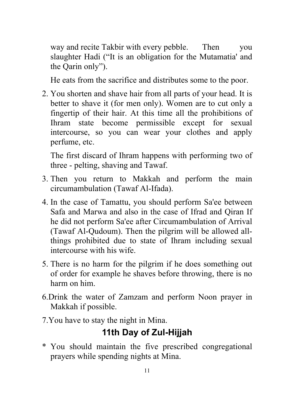way and recite Takbir with every pebble. Then you slaughter Hadi ("It is an obligation for the Mutamatia' and the Qarin only").

He eats from the sacrifice and distributes some to the poor.

2. You shorten and shave hair from all parts of your head. It is better to shave it (for men only). Women are to cut only a fingertip of their hair. At this time all the prohibitions of Ihram state become permissible except for sexual intercourse, so you can wear your clothes and apply perfume, etc.

 The first discard of Ihram happens with performing two of three - pelting, shaving and Tawaf.

- 3. Then you return to Makkah and perform the main circumambulation (Tawaf Al-Ifada).
- 4. In the case of Tamattu, you should perform Sa'ee between Safa and Marwa and also in the case of Ifrad and Qiran If he did not perform Sa'ee after Circumambulation of Arrival (Tawaf Al-Qudoum). Then the pilgrim will be allowed allthings prohibited due to state of Ihram including sexual intercourse with his wife.
- 5. There is no harm for the pilgrim if he does something out of order for example he shaves before throwing, there is no harm on him.
- 6.Drink the water of Zamzam and perform Noon prayer in Makkah if possible.
- 7.You have to stay the night in Mina.

### **11th Day of Zul-Hijjah**

\* You should maintain the five prescribed congregational prayers while spending nights at Mina.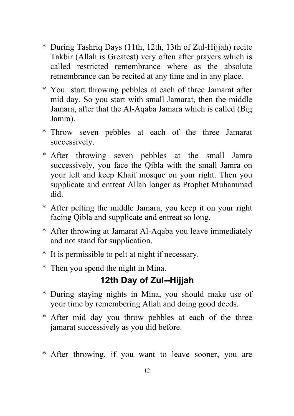- \* During Tashriq Days (11th, 12th, 13th of Zul-Hijjah) recite Takbir (Allah is Greatest) very often after prayers which is called restricted remembrance where as the absolute remembrance can be recited at any time and in any place.
- \* You start throwing pebbles at each of three Jamarat after mid day. So you start with small Jamarat, then the middle Jamara, after that the Al-Aqaba Jamara which is called (Big Jamra).
- \* Throw seven pebbles at each of the three Jamarat successively.
- \* After throwing seven pebbles at the small Jamra successively, you face the Qibla with the small Jamra on your left and keep Khaif mosque on your right. Then you supplicate and entreat Allah longer as Prophet Muhammad did.
- \* After pelting the middle Jamara, you keep it on your right facing Qibla and supplicate and entreat so long.
- \* After throwing at Jamarat Al-Aqaba you leave immediately and not stand for supplication.
- \* It is permissible to pelt at night if necessary.
- \* Then you spend the night in Mina.

## **12th Day of Zul--Hijjah**

- \* During staying nights in Mina, you should make use of your time by remembering Allah and doing good deeds.
- \* After mid day you throw pebbles at each of the three jamarat successively as you did before.
- \* After throwing, if you want to leave sooner, you are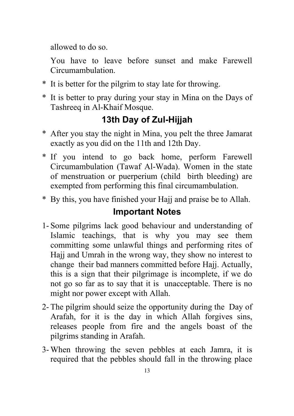allowed to do so.

 You have to leave before sunset and make Farewell Circumambulation.

- \* It is better for the pilgrim to stay late for throwing.
- \* It is better to pray during your stay in Mina on the Days of Tashreeq in Al-Khaif Mosque.

## **13th Day of Zul-Hijjah**

- \* After you stay the night in Mina, you pelt the three Jamarat exactly as you did on the 11th and 12th Day.
- \* If you intend to go back home, perform Farewell Circumambulation (Tawaf Al-Wada). Women in the state of menstruation or puerperium (child birth bleeding) are exempted from performing this final circumambulation.
- \* By this, you have finished your Hajj and praise be to Allah.

#### **Important Notes**

- 1- Some pilgrims lack good behaviour and understanding of Islamic teachings, that is why you may see them committing some unlawful things and performing rites of Hajj and Umrah in the wrong way, they show no interest to change their bad manners committed before Hajj. Actually, this is a sign that their pilgrimage is incomplete, if we do not go so far as to say that it is unacceptable. There is no might nor power except with Allah.
- 2- The pilgrim should seize the opportunity during the Day of Arafah, for it is the day in which Allah forgives sins, releases people from fire and the angels boast of the pilgrims standing in Arafah.
- 3- When throwing the seven pebbles at each Jamra, it is required that the pebbles should fall in the throwing place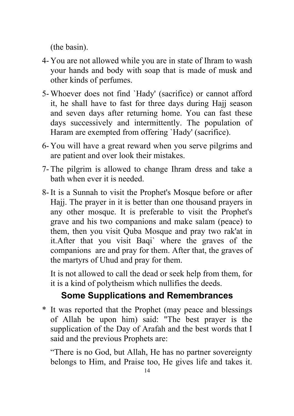(the basin).

- 4- You are not allowed while you are in state of Ihram to wash your hands and body with soap that is made of musk and other kinds of perfumes.
- 5- Whoever does not find `Hady' (sacrifice) or cannot afford it, he shall have to fast for three days during Hajj season and seven days after returning home. You can fast these days successively and intermittently. The population of Haram are exempted from offering `Hady' (sacrifice).
- 6- You will have a great reward when you serve pilgrims and are patient and over look their mistakes.
- 7- The pilgrim is allowed to change Ihram dress and take a bath when ever it is needed.
- 8- It is a Sunnah to visit the Prophet's Mosque before or after Hajj. The prayer in it is better than one thousand prayers in any other mosque. It is preferable to visit the Prophet's grave and his two companions and make salam (peace) to them, then you visit Quba Mosque and pray two rak'at in it.After that you visit Baqi` where the graves of the companions are and pray for them. After that, the graves of the martyrs of Uhud and pray for them.

 It is not allowed to call the dead or seek help from them, for it is a kind of polytheism which nullifies the deeds.

### **Some Supplications and Remembrances**

\* It was reported that the Prophet (may peace and blessings of Allah be upon him) said: "The best prayer is the supplication of the Day of Arafah and the best words that I said and the previous Prophets are:

 "There is no God, but Allah, He has no partner sovereignty belongs to Him, and Praise too, He gives life and takes it.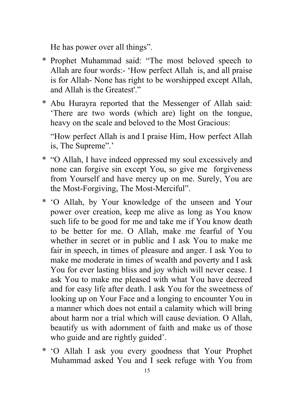He has power over all things".

- \* Prophet Muhammad said: "The most beloved speech to Allah are four words:- 'How perfect Allah is, and all praise is for Allah- None has right to be worshipped except Allah, and Allah is the Greatest'"
- \* Abu Hurayra reported that the Messenger of Allah said: 'There are two words (which are) light on the tongue, heavy on the scale and beloved to the Most Gracious:

 "How perfect Allah is and I praise Him, How perfect Allah is, The Supreme".'

- \* "O Allah, I have indeed oppressed my soul excessively and none can forgive sin except You, so give me forgiveness from Yourself and have mercy up on me. Surely, You are the Most-Forgiving, The Most-Merciful".
- \* 'O Allah, by Your knowledge of the unseen and Your power over creation, keep me alive as long as You know such life to be good for me and take me if You know death to be better for me. O Allah, make me fearful of You whether in secret or in public and I ask You to make me fair in speech, in times of pleasure and anger. I ask You to make me moderate in times of wealth and poverty and I ask You for ever lasting bliss and joy which will never cease. I ask You to make me pleased with what You have decreed and for easy life after death. I ask You for the sweetness of looking up on Your Face and a longing to encounter You in a manner which does not entail a calamity which will bring about harm nor a trial which will cause deviation. O Allah, beautify us with adornment of faith and make us of those who guide and are rightly guided'.
- \* 'O Allah I ask you every goodness that Your Prophet Muhammad asked You and I seek refuge with You from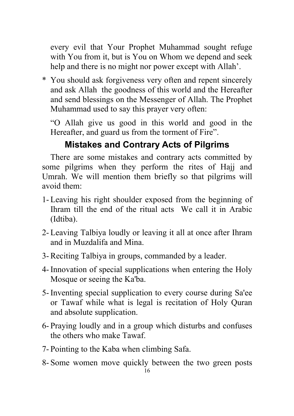every evil that Your Prophet Muhammad sought refuge with You from it, but is You on Whom we depend and seek help and there is no might nor power except with Allah'.

\* You should ask forgiveness very often and repent sincerely and ask Allah the goodness of this world and the Hereafter and send blessings on the Messenger of Allah. The Prophet Muhammad used to say this prayer very often:

 "O Allah give us good in this world and good in the Hereafter, and guard us from the torment of Fire".

# **Mistakes and Contrary Acts of Pilgrims**

There are some mistakes and contrary acts committed by some pilgrims when they perform the rites of Hajj and Umrah. We will mention them briefly so that pilgrims will avoid them:

- 1- Leaving his right shoulder exposed from the beginning of Ihram till the end of the ritual acts We call it in Arabic (Idtiba).
- 2- Leaving Talbiya loudly or leaving it all at once after Ihram and in Muzdalifa and Mina.
- 3- Reciting Talbiya in groups, commanded by a leader.
- 4- Innovation of special supplications when entering the Holy Mosque or seeing the Ka'ba.
- 5- Inventing special supplication to every course during Sa'ee or Tawaf while what is legal is recitation of Holy Quran and absolute supplication.
- 6- Praying loudly and in a group which disturbs and confuses the others who make Tawaf.
- 7- Pointing to the Kaba when climbing Safa.
- 8- Some women move quickly between the two green posts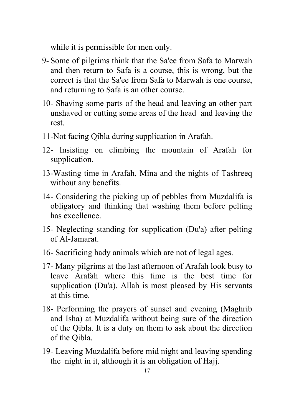while it is permissible for men only.

- 9- Some of pilgrims think that the Sa'ee from Safa to Marwah and then return to Safa is a course, this is wrong, but the correct is that the Sa'ee from Safa to Marwah is one course, and returning to Safa is an other course.
- 10- Shaving some parts of the head and leaving an other part unshaved or cutting some areas of the head and leaving the rest.
- 11-Not facing Qibla during supplication in Arafah.
- 12- Insisting on climbing the mountain of Arafah for supplication.
- 13-Wasting time in Arafah, Mina and the nights of Tashreeq without any benefits.
- 14- Considering the picking up of pebbles from Muzdalifa is obligatory and thinking that washing them before pelting has excellence.
- 15- Neglecting standing for supplication (Du'a) after pelting of Al-Jamarat.
- 16- Sacrificing hady animals which are not of legal ages.
- 17- Many pilgrims at the last afternoon of Arafah look busy to leave Arafah where this time is the best time for supplication (Du'a). Allah is most pleased by His servants at this time.
- 18- Performing the prayers of sunset and evening (Maghrib and Isha) at Muzdalifa without being sure of the direction of the Qibla. It is a duty on them to ask about the direction of the Qibla.
- 19- Leaving Muzdalifa before mid night and leaving spending the night in it, although it is an obligation of Hajj.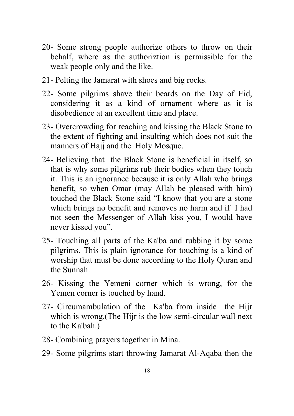- 20- Some strong people authorize others to throw on their behalf, where as the authoriztion is permissible for the weak people only and the like.
- 21- Pelting the Jamarat with shoes and big rocks.
- 22- Some pilgrims shave their beards on the Day of Eid, considering it as a kind of ornament where as it is disobedience at an excellent time and place.
- 23- Overcrowding for reaching and kissing the Black Stone to the extent of fighting and insulting which does not suit the manners of Hajj and the Holy Mosque.
- 24- Believing that the Black Stone is beneficial in itself, so that is why some pilgrims rub their bodies when they touch it. This is an ignorance because it is only Allah who brings benefit, so when Omar (may Allah be pleased with him) touched the Black Stone said "I know that you are a stone which brings no benefit and removes no harm and if I had not seen the Messenger of Allah kiss you, I would have never kissed you".
- 25- Touching all parts of the Ka'ba and rubbing it by some pilgrims. This is plain ignorance for touching is a kind of worship that must be done according to the Holy Quran and the Sunnah.
- 26- Kissing the Yemeni corner which is wrong, for the Yemen corner is touched by hand.
- 27- Circumambulation of the Ka'ba from inside the Hijr which is wrong.(The Hijr is the low semi-circular wall next to the Ka'bah.)
- 28- Combining prayers together in Mina.
- 29- Some pilgrims start throwing Jamarat Al-Aqaba then the